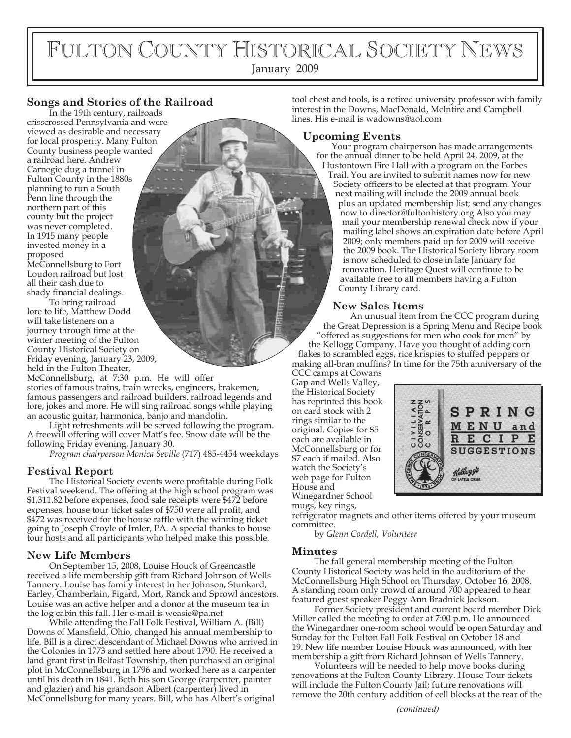# FULTON COUNTY HISTORICAL SOCIETY NEWS

January 2009

#### **Songs and Stories of the Railroad**

In the 19th century, railroads crisscrossed Pennsylvania and were viewed as desirable and necessary for local prosperity. Many Fulton County business people wanted a railroad here. Andrew Carnegie dug a tunnel in Fulton County in the 1880s planning to run a South Penn line through the northern part of this county but the project was never completed. In 1915 many people invested money in a proposed McConnellsburg to Fort Loudon railroad but lost all their cash due to

shady financial dealings. To bring railroad

lore to life, Matthew Dodd will take listeners on a journey through time at the winter meeting of the Fulton County Historical Society on Friday evening, January 23, 2009, held in the Fulton Theater,

McConnellsburg, at 7:30 p.m. He will offer stories of famous trains, train wrecks, engineers, brakemen, famous passengers and railroad builders, railroad legends and lore, jokes and more. He will sing railroad songs while playing an acoustic guitar, harmonica, banjo and mandolin.

Light refreshments will be served following the program. A freewill offering will cover Matt's fee. Snow date will be the following Friday evening, January 30.

*Program chairperson Monica Seville* (717) 485-4454 weekdays

#### **Festival Report**

The Historical Society events were profitable during Folk Festival weekend. The offering at the high school program was \$1,311.82 before expenses, food sale receipts were \$472 before expenses, house tour ticket sales of  $$750$  were all profit, and \$472 was received for the house raffle with the winning ticket going to Joseph Croyle of Imler, PA. A special thanks to house tour hosts and all participants who helped make this possible.

#### **New Life Members**

On September 15, 2008, Louise Houck of Greencastle received a life membership gift from Richard Johnson of Wells Tannery. Louise has family interest in her Johnson, Stunkard, Earley, Chamberlain, Figard, Mort, Ranck and Sprowl ancestors. Louise was an active helper and a donor at the museum tea in the log cabin this fall. Her e-mail is weasie@pa.net

While attending the Fall Folk Festival, William A. (Bill) Downs of Mansfield, Ohio, changed his annual membership to life. Bill is a direct descendant of Michael Downs who arrived in the Colonies in 1773 and settled here about 1790. He received a land grant first in Belfast Township, then purchased an original plot in McConnellsburg in 1796 and worked here as a carpenter until his death in 1841. Both his son George (carpenter, painter and glazier) and his grandson Albert (carpenter) lived in McConnellsburg for many years. Bill, who has Albert's original

tool chest and tools, is a retired university professor with family interest in the Downs, MacDonald, McIntire and Campbell lines. His e-mail is wadowns@aol.com

#### **Upcoming Events**

Your program chairperson has made arrangements for the annual dinner to be held April 24, 2009, at the Hustontown Fire Hall with a program on the Forbes Trail. You are invited to submit names now for new Society officers to be elected at that program. Your next mailing will include the 2009 annual book plus an updated membership list; send any changes now to director@fultonhistory.org Also you may mail your membership renewal check now if your mailing label shows an expiration date before April 2009; only members paid up for 2009 will receive the 2009 book. The Historical Society library room is now scheduled to close in late January for renovation. Heritage Quest will continue to be available free to all members having a Fulton County Library card.

#### **New Sales Items**

An unusual item from the CCC program during the Great Depression is a Spring Menu and Recipe book "offered as suggestions for men who cook for men" by the Kellogg Company. Have you thought of adding corn flakes to scrambled eggs, rice krispies to stuffed peppers or making all-bran muffins? In time for the 75th anniversary of the

CCC camps at Cowans Gap and Wells Valley, the Historical Society has reprinted this book on card stock with 2 rings similar to the original. Copies for \$5 each are available in McConnellsburg or for \$7 each if mailed. Also watch the Society's web page for Fulton House and Winegardner School mugs, key rings,



refrigerator magnets and other items offered by your museum committee.

by *Glenn Cordell, Volunteer*

#### **Minutes**

The fall general membership meeting of the Fulton County Historical Society was held in the auditorium of the McConnellsburg High School on Thursday, October 16, 2008. A standing room only crowd of around 700 appeared to hear featured guest speaker Peggy Ann Bradnick Jackson.

Former Society president and current board member Dick Miller called the meeting to order at 7:00 p.m. He announced the Winegardner one-room school would be open Saturday and Sunday for the Fulton Fall Folk Festival on October 18 and 19. New life member Louise Houck was announced, with her membership a gift from Richard Johnson of Wells Tannery.

Volunteers will be needed to help move books during renovations at the Fulton County Library. House Tour tickets will include the Fulton County Jail; future renovations will remove the 20th century addition of cell blocks at the rear of the